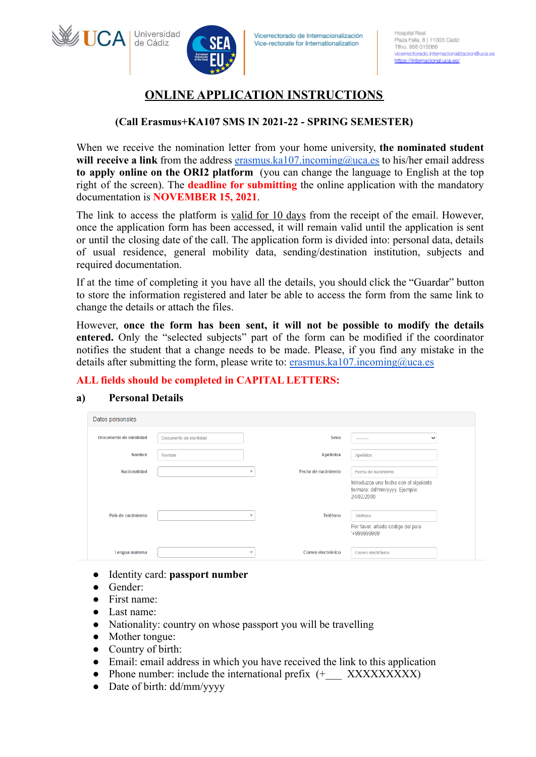# **ONLINE APPLICATION INSTRUCTIONS**

# **(Call Erasmus+KA107 SMS IN 2021-22 - SPRING SEMESTER)**

When we receive the nomination letter from your home university, **the nominated student will receive a link** from the address [erasmus.ka107.incoming@uca.es](mailto:erasmus.ka107.incoming@uca.es) to his/her email address **to apply online on the ORI2 platform** (you can change the language to English at the top right of the screen). The **deadline for submitting** the online application with the mandatory documentation is **NOVEMBER 15, 2021**.

The link to access the platform is valid for 10 days from the receipt of the email. However, once the application form has been accessed, it will remain valid until the application is sent or until the closing date of the call. The application form is divided into: personal data, details of usual residence, general mobility data, sending/destination institution, subjects and required documentation.

If at the time of completing it you have all the details, you should click the "Guardar" button to store the information registered and later be able to access the form from the same link to change the details or attach the files.

However, **once the form has been sent, it will not be possible to modify the details entered.** Only the "selected subjects" part of the form can be modified if the coordinator notifies the student that a change needs to be made. Please, if you find any mistake in the details after submitting the form, please write to: [erasmus.ka107.incoming@uca.es](mailto:erasmus.ka107.incoming@uca.es)

# **ALL fields should be completed in CAPITAL LETTERS:**

# **a) Personal Details**

Universidad

de Cádiz

**WIICA** 

| Datos personales       |                        |                          |                     |                                                                                      |
|------------------------|------------------------|--------------------------|---------------------|--------------------------------------------------------------------------------------|
| Documento de identidad | Documento de identidad |                          | Sexo                | $\checkmark$<br>---------                                                            |
| <b>Nombre</b>          | Nombre                 |                          | <b>Apellidos</b>    | Apellidos                                                                            |
| <b>Nacionalidad</b>    |                        | $\overline{\mathbf{v}}$  | Fecha de nacimiento | Fecha de nacimiento                                                                  |
|                        |                        |                          |                     | Introduzca una fecha con el siguiente<br>formato: dd/mm/yyyy. Ejemplo:<br>24/02/2000 |
| País de nacimiento     |                        | $\overline{\mathbf{v}}$  | Teléfono            | Teléfono                                                                             |
|                        |                        |                          |                     | Por favor, añada código del país<br>'+999999999'                                     |
| Lengua materna         |                        | $\overline{\phantom{a}}$ | Correo electrónico  | Correo electrónico                                                                   |

- Identity card: **passport number**
- Gender:
- First name:
- Last name:
- Nationality: country on whose passport you will be travelling
- Mother tongue:
- Country of birth:
- Email: email address in which you have received the link to this application
- Phone number: include the international prefix (+ XXXXXXXXX)
- Date of birth: dd/mm/yyyy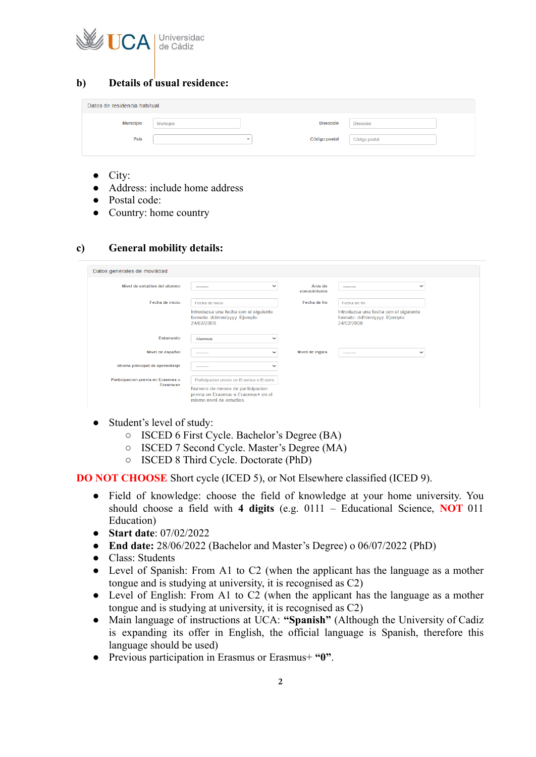

# **b) Details of usual residence:**

| Datos de residencia habitual |           |                                           |               |  |
|------------------------------|-----------|-------------------------------------------|---------------|--|
| <b>Municipio</b>             | Municipio | Dirección                                 | Dirección     |  |
| País                         |           | Código postal<br>$\overline{\phantom{a}}$ | Código postal |  |
|                              |           |                                           |               |  |

- City:
- Address: include home address
- Postal code:
- Country: home country

# **c) General mobility details:**

| Nivel de estudios del alumno      | $\checkmark$<br>---------                                                                          | Área de<br>conocimiento | $\checkmark$<br>---------                                                            |
|-----------------------------------|----------------------------------------------------------------------------------------------------|-------------------------|--------------------------------------------------------------------------------------|
| Fecha de inicio                   | Fecha de inicio                                                                                    | Fecha de fin            | Fecha de fin                                                                         |
|                                   | Introduzca una fecha con el siguiente<br>formato: dd/mm/yyyy. Ejemplo:<br>24/02/2000               |                         | Introduzca una fecha con el siguiente<br>formato: dd/mm/yyyy. Ejemplo:<br>24/02/2000 |
| <b>Estamento</b>                  | <b>Alumnos</b><br>◡                                                                                |                         |                                                                                      |
| Nivel de español                  | $\checkmark$<br>---------                                                                          | Nivel de ingles         | $\checkmark$<br>---------                                                            |
| Idioma principal de aprendizaje   | $\checkmark$<br>---------                                                                          |                         |                                                                                      |
| Participacion previa en Erasmus o | Participacion previa en Erasmus o Erasmu                                                           |                         |                                                                                      |
| Erasmus+                          | Numero de meses de participacion<br>previa en Erasmus o Erasmus+ en el<br>mismo nivel de estudios. |                         |                                                                                      |

- Student's level of study:
	- ISCED 6 First Cycle. Bachelor's Degree (BA)
	- ISCED 7 Second Cycle. Master's Degree (MA)
	- ISCED 8 Third Cycle. Doctorate (PhD)

**DO NOT CHOOSE** Short cycle (ICED 5), or Not Elsewhere classified (ICED 9).

- Field of knowledge: choose the field of knowledge at your home university. You should choose a field with **4 digits** (e.g. 0111 – Educational Science, **NOT** 011 Education)
- **Start date**: 07/02/2022
- **End date:** 28/06/2022 (Bachelor and Master's Degree) o 06/07/2022 (PhD)
- Class: Students
- Level of Spanish: From A1 to C2 (when the applicant has the language as a mother tongue and is studying at university, it is recognised as C2)
- Level of English: From A1 to C2 (when the applicant has the language as a mother tongue and is studying at university, it is recognised as C2)
- Main language of instructions at UCA: **"Spanish"** (Although the University of Cadiz is expanding its offer in English, the official language is Spanish, therefore this language should be used)
- Previous participation in Erasmus or Erasmus+ **"0"**.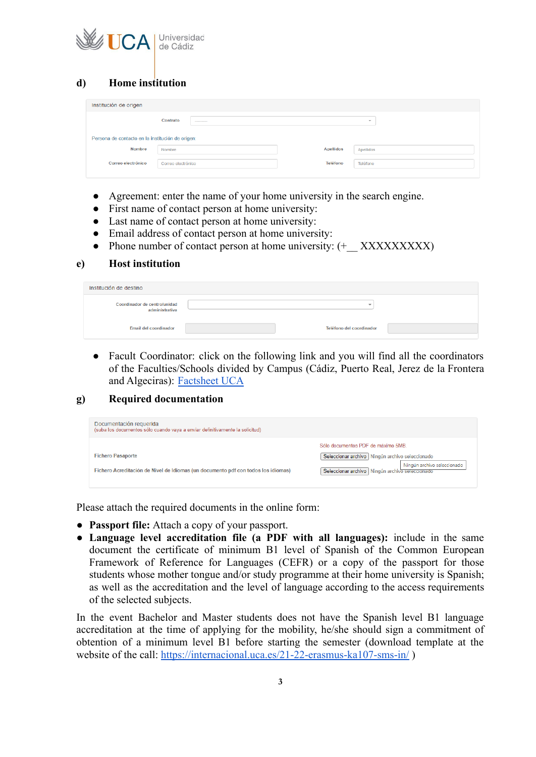

# **d) Home institution**

| Institución de origen                            |                               |                  |                          |
|--------------------------------------------------|-------------------------------|------------------|--------------------------|
|                                                  | Contrato<br><b>CONTRACTOR</b> |                  | $\overline{\phantom{a}}$ |
| Persona de contacto en la institución de origen: |                               |                  |                          |
| <b>Nombre</b>                                    | Nombre                        | <b>Apellidos</b> | Apellidos                |
| Correo electrónico                               | Correo electrónico            | Teléfono         | Teléfono                 |

- Agreement: enter the name of your home university in the search engine.
- First name of contact person at home university:
- Last name of contact person at home university:
- Email address of contact person at home university:
- Phone number of contact person at home university:  $(+)$  XXXXXXXXXX)

#### **e) Host institution**

| Institución de destino                         |                          |  |
|------------------------------------------------|--------------------------|--|
| Coordinador de centro/unidad<br>administrativa | $\overline{\phantom{a}}$ |  |
| <b>Email del coordinador</b>                   | Teléfono del coordinador |  |

• Facult Coordinator: click on the following link and you will find all the coordinators of the Faculties/Schools divided by Campus (Cádiz, Puerto Real, Jerez de la Frontera and Algeciras): [Factsheet UCA](https://old-ori.uca.es/wp-content/uploads/2020/01/Fact-Sheet3.pdf)

#### **g) Required documentation**

| Documentación requerida<br>(suba los documentos sólo cuando vaya a enviar definitivamente la solicitud)       |                                                                                                                                                                             |
|---------------------------------------------------------------------------------------------------------------|-----------------------------------------------------------------------------------------------------------------------------------------------------------------------------|
| <b>Fichero Pasaporte</b><br>Fichero Acreditación de Nivel de Idiomas (un documento pdf con todos los idiomas) | Sólo documentos PDF de máximo 5MB.<br>Seleccionar archivo   Ningún archivo seleccionado<br>Ningún archivo seleccionado<br>Seleccionar archivo   Ningún archivo seleccionado |

Please attach the required documents in the online form:

- **Passport file:** Attach a copy of your passport.
- **Language level accreditation file (a PDF with all languages):** include in the same document the certificate of minimum B1 level of Spanish of the Common European Framework of Reference for Languages (CEFR) or a copy of the passport for those students whose mother tongue and/or study programme at their home university is Spanish; as well as the accreditation and the level of language according to the access requirements of the selected subjects.

In the event Bachelor and Master students does not have the Spanish level B1 language accreditation at the time of applying for the mobility, he/she should sign a commitment of obtention of a minimum level B1 before starting the semester (download template at the website of the call: <https://internacional.uca.es/21-22-erasmus-ka107-sms-in/>)